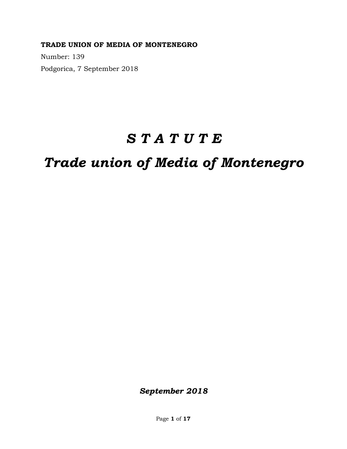**TRADE UNION OF MEDIA OF MONTENEGRO** 

Number: 139 Podgorica, 7 September 2018

# *S T A T U T E*

# *Trade union of Media of Montenegro*

*September 2018*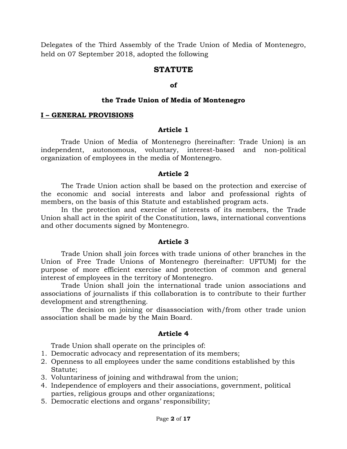Delegates of the Third Assembly of the Trade Union of Media of Montenegro, held on 07 September 2018, adopted the following

## **STATUTE**

#### **of**

#### **the Trade Union of Media of Montenegro**

#### **I – GENERAL PROVISIONS**

#### **Article 1**

Trade Union of Media of Montenegro (hereinafter: Trade Union) is an independent, autonomous, voluntary, interest-based and non-political organization of employees in the media of Montenegro.

#### **Article 2**

The Trade Union action shall be based on the protection and exercise of the economic and social interests and labor and professional rights of members, on the basis of this Statute and established program acts.

In the protection and exercise of interests of its members, the Trade Union shall act in the spirit of the Constitution, laws, international conventions and other documents signed by Montenegro.

#### **Article 3**

Trade Union shall join forces with trade unions of other branches in the Union of Free Trade Unions of Montenegro (hereinafter: UFTUM) for the purpose of more efficient exercise and protection of common and general interest of employees in the territory of Montenegro.

Trade Union shall join the international trade union associations and associations of journalists if this collaboration is to contribute to their further development and strengthening.

The decision on joining or disassociation with/from other trade union association shall be made by the Main Board.

#### **Article 4**

Trade Union shall operate on the principles of:

- 1. Democratic advocacy and representation of its members;
- 2. Openness to all employees under the same conditions established by this Statute;
- 3. Voluntariness of joining and withdrawal from the union;
- 4. Independence of employers and their associations, government, political parties, religious groups and other organizations;
- 5. Democratic elections and organs' responsibility;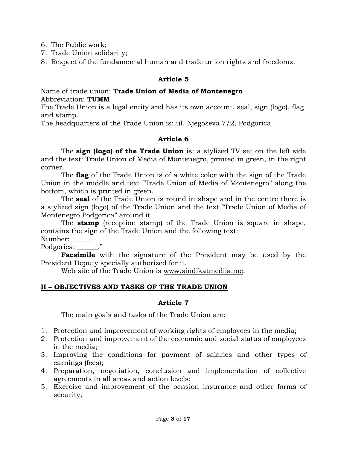6. The Public work;

- 7. Trade Union solidarity;
- 8. Respect of the fundamental human and trade union rights and freedoms.

## **Article 5**

Name of trade union: **Trade Union of Media of Montenegro** Abbreviation: **TUMM**

The Trade Union is a legal entity and has its own account, seal, sign (logo), flag and stamp.

The headquarters of the Trade Union is: ul. Njegoševa 7/2, Podgorica.

## **Article 6**

The **sign (logo) of the Trade Union** is: a stylized TV set on the left side and the text: Trade Union of Media of Montenegro, printed in green, in the right corner.

The **flag** of the Trade Union is of a white color with the sign of the Trade Union in the middle and text "Trade Union of Media of Montenegro" along the bottom, which is printed in green.

The **seal** of the Trade Union is round in shape and in the centre there is a stylized sign (logo) of the Trade Union and the text "Trade Union of Media of Montenegro Podgorica" around it.

The **stamp** (reception stamp) of the Trade Union is square in shape, contains the sign of the Trade Union and the following text:

Number: \_\_\_\_\_\_

Podgorica:  $\blacksquare$ "

**Facsimile** with the signature of the President may be used by the President Deputy specially authorized for it.

Web site of the Trade Union is [www.sindikatmedija.me.](http://www.sindikatmedija.me/)

## **II – OBJECTIVES AND TASKS OF THE TRADE UNION**

### **Article 7**

The main goals and tasks of the Trade Union are:

- 1. Protection and improvement of working rights of employees in the media;
- 2. Protection and improvement of the economic and social status of employees in the media;
- 3. Improving the conditions for payment of salaries and other types of earnings (fees);
- 4. Preparation, negotiation, conclusion and implementation of collective agreements in all areas and action levels;
- 5. Exercise and improvement of the pension insurance and other forms of security;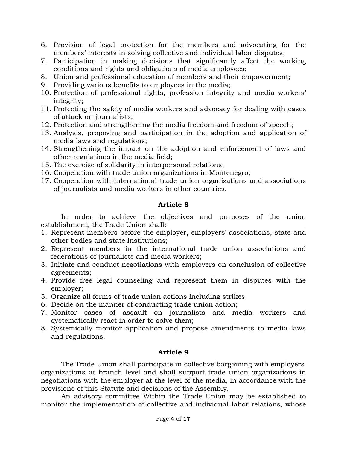- 6. Provision of legal protection for the members and advocating for the members' interests in solving collective and individual labor disputes;
- 7. Participation in making decisions that significantly affect the working conditions and rights and obligations of media employees;
- 8. Union and professional education of members and their empowerment;
- 9. Providing various benefits to employees in the media;
- 10. Protection of professional rights, profession integrity and media workers' integrity;
- 11. Protecting the safety of media workers and advocacy for dealing with cases of attack on journalists;
- 12. Protection and strengthening the media freedom and freedom of speech;
- 13. Analysis, proposing and participation in the adoption and application of media laws and regulations;
- 14. Strengthening the impact on the adoption and enforcement of laws and other regulations in the media field;
- 15. The exercise of solidarity in interpersonal relations;
- 16. Cooperation with trade union organizations in Montenegro;
- 17. Cooperation with international trade union organizations and associations of journalists and media workers in other countries.

## **Article 8**

In order to achieve the objectives and purposes of the union establishment, the Trade Union shall:

- 1. Represent members before the employer, employers' associations, state and other bodies and state institutions;
- 2. Represent members in the international trade union associations and federations of journalists and media workers;
- 3. Initiate and conduct negotiations with employers on conclusion of collective agreements;
- 4. Provide free legal counseling and represent them in disputes with the employer;
- 5. Organize all forms of trade union actions including strikes;
- 6. Decide on the manner of conducting trade union action;
- 7. Monitor cases of assault on journalists and media workers and systematically react in order to solve them;
- 8. Systemically monitor application and propose amendments to media laws and regulations.

## **Article 9**

The Trade Union shall participate in collective bargaining with employers' organizations at branch level and shall support trade union organizations in negotiations with the employer at the level of the media, in accordance with the provisions of this Statute and decisions of the Assembly.

An advisory committee Within the Trade Union may be established to monitor the implementation of collective and individual labor relations, whose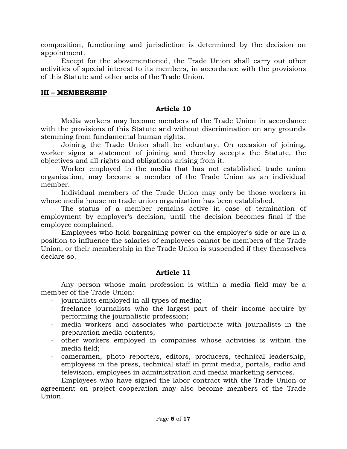composition, functioning and jurisdiction is determined by the decision on appointment.

Except for the abovementioned, the Trade Union shall carry out other activities of special interest to its members, in accordance with the provisions of this Statute and other acts of the Trade Union.

## **III – MEMBERSHIP**

#### **Article 10**

Media workers may become members of the Trade Union in accordance with the provisions of this Statute and without discrimination on any grounds stemming from fundamental human rights.

Joining the Trade Union shall be voluntary. On occasion of joining, worker signs a statement of joining and thereby accepts the Statute, the objectives and all rights and obligations arising from it.

Worker employed in the media that has not established trade union organization, may become a member of the Trade Union as an individual member.

Individual members of the Trade Union may only be those workers in whose media house no trade union organization has been established.

The status of a member remains active in case of termination of employment by employer's decision, until the decision becomes final if the employee complained.

Employees who hold bargaining power on the employer's side or are in a position to influence the salaries of employees cannot be members of the Trade Union, or their membership in the Trade Union is suspended if they themselves declare so.

## **Article 11**

Any person whose main profession is within a media field may be a member of the Trade Union:

- journalists employed in all types of media;
- freelance journalists who the largest part of their income acquire by performing the journalistic profession;
- media workers and associates who participate with journalists in the preparation media contents;
- other workers employed in companies whose activities is within the media field;
- cameramen, photo reporters, editors, producers, technical leadership, employees in the press, technical staff in print media, portals, radio and television, employees in administration and media marketing services.

Employees who have signed the labor contract with the Trade Union or agreement on project cooperation may also become members of the Trade Union.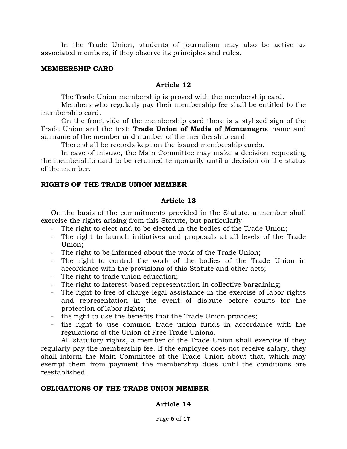In the Trade Union, students of journalism may also be active as associated members, if they observe its principles and rules.

#### **MEMBERSHIP CARD**

#### **Article 12**

The Trade Union membership is proved with the membership card.

Members who regularly pay their membership fee shall be entitled to the membership card.

On the front side of the membership card there is a stylized sign of the Trade Union and the text: **Trade Union of Media of Montenegro**, name and surname of the member and number of the membership card.

There shall be records kept on the issued membership cards.

In case of misuse, the Main Committee may make a decision requesting the membership card to be returned temporarily until a decision on the status of the member.

#### **RIGHTS OF THE TRADE UNION MEMBER**

#### **Article 13**

On the basis of the commitments provided in the Statute, a member shall exercise the rights arising from this Statute, but particularly:

- The right to elect and to be elected in the bodies of the Trade Union;
- The right to launch initiatives and proposals at all levels of the Trade Union;
- The right to be informed about the work of the Trade Union;
- The right to control the work of the bodies of the Trade Union in accordance with the provisions of this Statute and other acts;
- The right to trade union education;
- The right to interest-based representation in collective bargaining;
- The right to free of charge legal assistance in the exercise of labor rights and representation in the event of dispute before courts for the protection of labor rights;
- the right to use the benefits that the Trade Union provides;
- the right to use common trade union funds in accordance with the regulations of the Union of Free Trade Unions.

All statutory rights, a member of the Trade Union shall exercise if they regularly pay the membership fee. If the employee does not receive salary, they shall inform the Main Committee of the Trade Union about that, which may exempt them from payment the membership dues until the conditions are reestablished.

#### **OBLIGATIONS OF THE TRADE UNION MEMBER**

### **Article 14**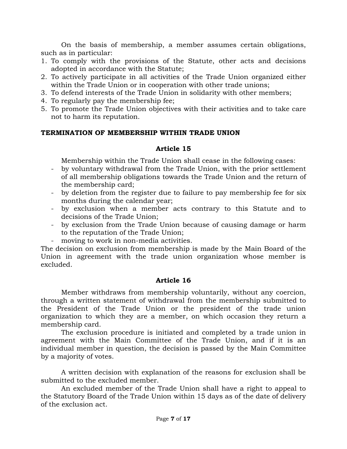On the basis of membership, a member assumes certain obligations, such as in particular:

- 1. To comply with the provisions of the Statute, other acts and decisions adopted in accordance with the Statute;
- 2. To actively participate in all activities of the Trade Union organized either within the Trade Union or in cooperation with other trade unions;
- 3. To defend interests of the Trade Union in solidarity with other members;
- 4. To regularly pay the membership fee;
- 5. To promote the Trade Union objectives with their activities and to take care not to harm its reputation.

#### **TERMINATION OF MEMBERSHIP WITHIN TRADE UNION**

#### **Article 15**

Membership within the Trade Union shall cease in the following cases:

- by voluntary withdrawal from the Trade Union, with the prior settlement of all membership obligations towards the Trade Union and the return of the membership card;
- by deletion from the register due to failure to pay membership fee for six months during the calendar year;
- by exclusion when a member acts contrary to this Statute and to decisions of the Trade Union;
- by exclusion from the Trade Union because of causing damage or harm to the reputation of the Trade Union;
- moving to work in non-media activities.

The decision on exclusion from membership is made by the Main Board of the Union in agreement with the trade union organization whose member is excluded.

### **Article 16**

Member withdraws from membership voluntarily, without any coercion, through a written statement of withdrawal from the membership submitted to the President of the Trade Union or the president of the trade union organization to which they are a member, on which occasion they return a membership card.

The exclusion procedure is initiated and completed by a trade union in agreement with the Main Committee of the Trade Union, and if it is an individual member in question, the decision is passed by the Main Committee by a majority of votes.

A written decision with explanation of the reasons for exclusion shall be submitted to the excluded member.

An excluded member of the Trade Union shall have a right to appeal to the Statutory Board of the Trade Union within 15 days as of the date of delivery of the exclusion act.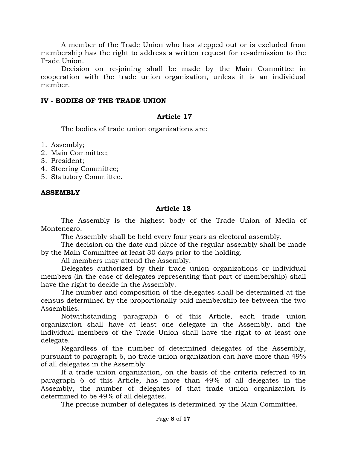A member of the Trade Union who has stepped out or is excluded from membership has the right to address a written request for re-admission to the Trade Union.

Decision on re-joining shall be made by the Main Committee in cooperation with the trade union organization, unless it is an individual member.

### **IV - BODIES OF THE TRADE UNION**

## **Article 17**

The bodies of trade union organizations are:

- 1. Assembly;
- 2. Main Committee;
- 3. President;
- 4. Steering Committee;
- 5. Statutory Committee.

### **ASSEMBLY**

## **Article 18**

The Assembly is the highest body of the Trade Union of Media of Montenegro.

The Assembly shall be held every four years as electoral assembly.

The decision on the date and place of the regular assembly shall be made by the Main Committee at least 30 days prior to the holding.

All members may attend the Assembly.

Delegates authorized by their trade union organizations or individual members (in the case of delegates representing that part of membership) shall have the right to decide in the Assembly.

The number and composition of the delegates shall be determined at the census determined by the proportionally paid membership fee between the two Assemblies.

Notwithstanding paragraph 6 of this Article, each trade union organization shall have at least one delegate in the Assembly, and the individual members of the Trade Union shall have the right to at least one delegate.

Regardless of the number of determined delegates of the Assembly, pursuant to paragraph 6, no trade union organization can have more than 49% of all delegates in the Assembly.

If a trade union organization, on the basis of the criteria referred to in paragraph 6 of this Article, has more than 49% of all delegates in the Assembly, the number of delegates of that trade union organization is determined to be 49% of all delegates.

The precise number of delegates is determined by the Main Committee.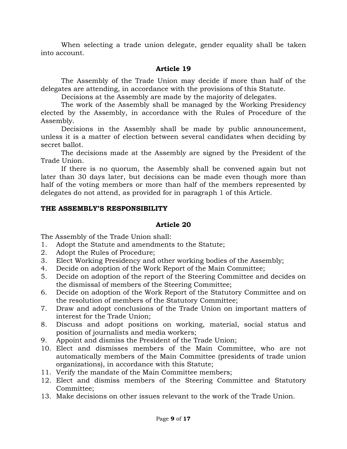When selecting a trade union delegate, gender equality shall be taken into account.

## **Article 19**

The Assembly of the Trade Union may decide if more than half of the delegates are attending, in accordance with the provisions of this Statute.

Decisions at the Assembly are made by the majority of delegates.

The work of the Assembly shall be managed by the Working Presidency elected by the Assembly, in accordance with the Rules of Procedure of the Assembly.

Decisions in the Assembly shall be made by public announcement, unless it is a matter of election between several candidates when deciding by secret ballot.

The decisions made at the Assembly are signed by the President of the Trade Union.

If there is no quorum, the Assembly shall be convened again but not later than 30 days later, but decisions can be made even though more than half of the voting members or more than half of the members represented by delegates do not attend, as provided for in paragraph 1 of this Article.

### **THE ASSEMBLY'S RESPONSIBILITY**

## **Article 20**

The Assembly of the Trade Union shall:

- 1. Adopt the Statute and amendments to the Statute;
- 2. Adopt the Rules of Procedure;
- 3. Elect Working Presidency and other working bodies of the Assembly;
- 4. Decide on adoption of the Work Report of the Main Committee;
- 5. Decide on adoption of the report of the Steering Committee and decides on the dismissal of members of the Steering Committee;
- 6. Decide on adoption of the Work Report of the Statutory Committee and on the resolution of members of the Statutory Committee;
- 7. Draw and adopt conclusions of the Trade Union on important matters of interest for the Trade Union;
- 8. Discuss and adopt positions on working, material, social status and position of journalists and media workers;
- 9. Appoint and dismiss the President of the Trade Union;
- 10. Elect and dismisses members of the Main Committee, who are not automatically members of the Main Committee (presidents of trade union organizations), in accordance with this Statute;
- 11. Verify the mandate of the Main Committee members;
- 12. Elect and dismiss members of the Steering Committee and Statutory Committee;
- 13. Make decisions on other issues relevant to the work of the Trade Union.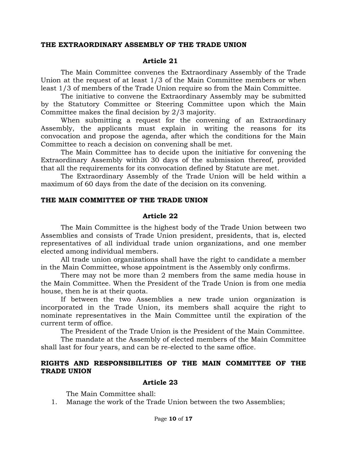#### **THE EXTRAORDINARY ASSEMBLY OF THE TRADE UNION**

#### **Article 21**

The Main Committee convenes the Extraordinary Assembly of the Trade Union at the request of at least 1/3 of the Main Committee members or when least 1/3 of members of the Trade Union require so from the Main Committee.

The initiative to convene the Extraordinary Assembly may be submitted by the Statutory Committee or Steering Committee upon which the Main Committee makes the final decision by 2/3 majority.

When submitting a request for the convening of an Extraordinary Assembly, the applicants must explain in writing the reasons for its convocation and propose the agenda, after which the conditions for the Main Committee to reach a decision on convening shall be met.

The Main Committee has to decide upon the initiative for convening the Extraordinary Assembly within 30 days of the submission thereof, provided that all the requirements for its convocation defined by Statute are met.

The Extraordinary Assembly of the Trade Union will be held within a maximum of 60 days from the date of the decision on its convening.

### **THE MAIN COMMITTEE OF THE TRADE UNION**

#### **Article 22**

The Main Committee is the highest body of the Trade Union between two Assemblies and consists of Trade Union president, presidents, that is, elected representatives of all individual trade union organizations, and one member elected among individual members.

All trade union organizations shall have the right to candidate a member in the Main Committee, whose appointment is the Assembly only confirms.

There may not be more than 2 members from the same media house in the Main Committee. When the President of the Trade Union is from one media house, then he is at their quota.

If between the two Assemblies a new trade union organization is incorporated in the Trade Union, its members shall acquire the right to nominate representatives in the Main Committee until the expiration of the current term of office.

The President of the Trade Union is the President of the Main Committee.

The mandate at the Assembly of elected members of the Main Committee shall last for four years, and can be re-elected to the same office.

### **RIGHTS AND RESPONSIBILITIES OF THE MAIN COMMITTEE OF THE TRADE UNION**

#### **Article 23**

The Main Committee shall:

1. Manage the work of the Trade Union between the two Assemblies;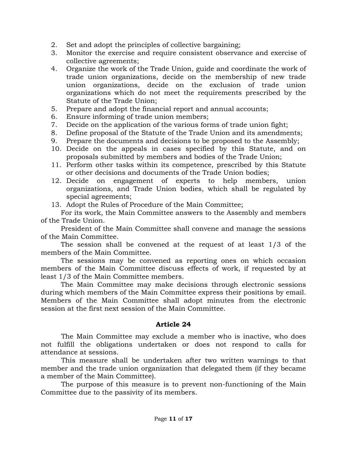- 2. Set and adopt the principles of collective bargaining;
- 3. Monitor the exercise and require consistent observance and exercise of collective agreements;
- 4. Organize the work of the Trade Union, guide and coordinate the work of trade union organizations, decide on the membership of new trade union organizations, decide on the exclusion of trade union organizations which do not meet the requirements prescribed by the Statute of the Trade Union;
- 5. Prepare and adopt the financial report and annual accounts;
- 6. Ensure informing of trade union members;
- 7. Decide on the application of the various forms of trade union fight;
- 8. Define proposal of the Statute of the Trade Union and its amendments;
- 9. Prepare the documents and decisions to be proposed to the Assembly;
- 10. Decide on the appeals in cases specified by this Statute, and on proposals submitted by members and bodies of the Trade Union;
- 11. Perform other tasks within its competence, prescribed by this Statute or other decisions and documents of the Trade Union bodies;
- 12. Decide on engagement of experts to help members, union organizations, and Trade Union bodies, which shall be regulated by special agreements;
- 13. Adopt the Rules of Procedure of the Main Committee;

For its work, the Main Committee answers to the Assembly and members of the Trade Union.

President of the Main Committee shall convene and manage the sessions of the Main Committee.

The session shall be convened at the request of at least 1/3 of the members of the Main Committee.

The sessions may be convened as reporting ones on which occasion members of the Main Committee discuss effects of work, if requested by at least 1/3 of the Main Committee members.

The Main Committee may make decisions through electronic sessions during which members of the Main Committee express their positions by email. Members of the Main Committee shall adopt minutes from the electronic session at the first next session of the Main Committee.

### **Article 24**

The Main Committee may exclude a member who is inactive, who does not fulfill the obligations undertaken or does not respond to calls for attendance at sessions.

This measure shall be undertaken after two written warnings to that member and the trade union organization that delegated them (if they became a member of the Main Committee).

The purpose of this measure is to prevent non-functioning of the Main Committee due to the passivity of its members.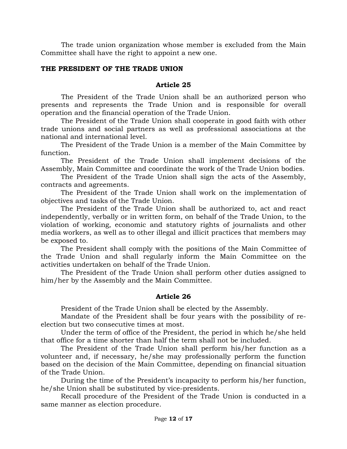The trade union organization whose member is excluded from the Main Committee shall have the right to appoint a new one.

## **THE PRESIDENT OF THE TRADE UNION**

### **Article 25**

The President of the Trade Union shall be an authorized person who presents and represents the Trade Union and is responsible for overall operation and the financial operation of the Trade Union.

The President of the Trade Union shall cooperate in good faith with other trade unions and social partners as well as professional associations at the national and international level.

The President of the Trade Union is a member of the Main Committee by function.

The President of the Trade Union shall implement decisions of the Assembly, Main Committee and coordinate the work of the Trade Union bodies.

The President of the Trade Union shall sign the acts of the Assembly, contracts and agreements.

The President of the Trade Union shall work on the implementation of objectives and tasks of the Trade Union.

The President of the Trade Union shall be authorized to, act and react independently, verbally or in written form, on behalf of the Trade Union, to the violation of working, economic and statutory rights of journalists and other media workers, as well as to other illegal and illicit practices that members may be exposed to.

The President shall comply with the positions of the Main Committee of the Trade Union and shall regularly inform the Main Committee on the activities undertaken on behalf of the Trade Union.

The President of the Trade Union shall perform other duties assigned to him/her by the Assembly and the Main Committee.

### **Article 26**

President of the Trade Union shall be elected by the Assembly.

Mandate of the President shall be four years with the possibility of reelection but two consecutive times at most.

Under the term of office of the President, the period in which he/she held that office for a time shorter than half the term shall not be included.

The President of the Trade Union shall perform his/her function as a volunteer and, if necessary, he/she may professionally perform the function based on the decision of the Main Committee, depending on financial situation of the Trade Union.

During the time of the President's incapacity to perform his/her function, he/she Union shall be substituted by vice-presidents.

Recall procedure of the President of the Trade Union is conducted in a same manner as election procedure.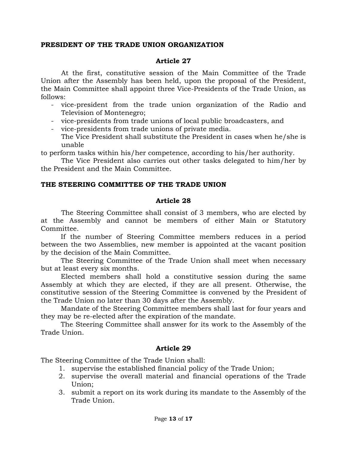## **PRESIDENT OF THE TRADE UNION ORGANIZATION**

## **Article 27**

At the first, constitutive session of the Main Committee of the Trade Union after the Assembly has been held, upon the proposal of the President, the Main Committee shall appoint three Vice-Presidents of the Trade Union, as follows:

- vice-president from the trade union organization of the Radio and Television of Montenegro;
- vice-presidents from trade unions of local public broadcasters, and
- vice-presidents from trade unions of private media. The Vice President shall substitute the President in cases when he/she is unable

to perform tasks within his/her competence, according to his/her authority.

The Vice President also carries out other tasks delegated to him/her by the President and the Main Committee.

## **THE STEERING COMMITTEE OF THE TRADE UNION**

## **Article 28**

The Steering Committee shall consist of 3 members, who are elected by at the Assembly and cannot be members of either Main or Statutory Committee.

If the number of Steering Committee members reduces in a period between the two Assemblies, new member is appointed at the vacant position by the decision of the Main Committee.

The Steering Committee of the Trade Union shall meet when necessary but at least every six months.

Elected members shall hold a constitutive session during the same Assembly at which they are elected, if they are all present. Otherwise, the constitutive session of the Steering Committee is convened by the President of the Trade Union no later than 30 days after the Assembly.

Mandate of the Steering Committee members shall last for four years and they may be re-elected after the expiration of the mandate.

The Steering Committee shall answer for its work to the Assembly of the Trade Union.

## **Article 29**

The Steering Committee of the Trade Union shall:

- 1. supervise the established financial policy of the Trade Union;
- 2. supervise the overall material and financial operations of the Trade Union;
- 3. submit a report on its work during its mandate to the Assembly of the Trade Union.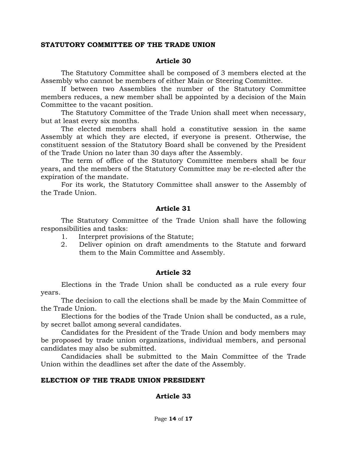#### **STATUTORY COMMITTEE OF THE TRADE UNION**

#### **Article 30**

The Statutory Committee shall be composed of 3 members elected at the Assembly who cannot be members of either Main or Steering Committee.

If between two Assemblies the number of the Statutory Committee members reduces, a new member shall be appointed by a decision of the Main Committee to the vacant position.

The Statutory Committee of the Trade Union shall meet when necessary, but at least every six months.

The elected members shall hold a constitutive session in the same Assembly at which they are elected, if everyone is present. Otherwise, the constituent session of the Statutory Board shall be convened by the President of the Trade Union no later than 30 days after the Assembly.

The term of office of the Statutory Committee members shall be four years, and the members of the Statutory Committee may be re-elected after the expiration of the mandate.

For its work, the Statutory Committee shall answer to the Assembly of the Trade Union.

#### **Article 31**

The Statutory Committee of the Trade Union shall have the following responsibilities and tasks:

- 1. Interpret provisions of the Statute;
- 2. Deliver opinion on draft amendments to the Statute and forward them to the Main Committee and Assembly.

### **Article 32**

Elections in the Trade Union shall be conducted as a rule every four years.

The decision to call the elections shall be made by the Main Committee of the Trade Union.

Elections for the bodies of the Trade Union shall be conducted, as a rule, by secret ballot among several candidates.

Candidates for the President of the Trade Union and body members may be proposed by trade union organizations, individual members, and personal candidates may also be submitted.

Candidacies shall be submitted to the Main Committee of the Trade Union within the deadlines set after the date of the Assembly.

#### **ELECTION OF THE TRADE UNION PRESIDENT**

### **Article 33**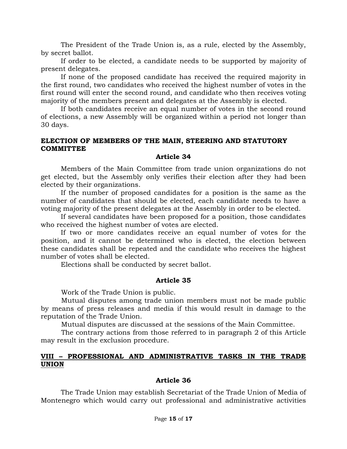The President of the Trade Union is, as a rule, elected by the Assembly, by secret ballot.

If order to be elected, a candidate needs to be supported by majority of present delegates.

If none of the proposed candidate has received the required majority in the first round, two candidates who received the highest number of votes in the first round will enter the second round, and candidate who then receives voting majority of the members present and delegates at the Assembly is elected.

If both candidates receive an equal number of votes in the second round of elections, a new Assembly will be organized within a period not longer than 30 days.

#### **ELECTION OF MEMBERS OF THE MAIN, STEERING AND STATUTORY COMMITTEE**

#### **Article 34**

Members of the Main Committee from trade union organizations do not get elected, but the Assembly only verifies their election after they had been elected by their organizations.

If the number of proposed candidates for a position is the same as the number of candidates that should be elected, each candidate needs to have a voting majority of the present delegates at the Assembly in order to be elected.

If several candidates have been proposed for a position, those candidates who received the highest number of votes are elected.

If two or more candidates receive an equal number of votes for the position, and it cannot be determined who is elected, the election between these candidates shall be repeated and the candidate who receives the highest number of votes shall be elected.

Elections shall be conducted by secret ballot.

### **Article 35**

Work of the Trade Union is public.

Mutual disputes among trade union members must not be made public by means of press releases and media if this would result in damage to the reputation of the Trade Union.

Mutual disputes are discussed at the sessions of the Main Committee.

The contrary actions from those referred to in paragraph 2 of this Article may result in the exclusion procedure.

### **VIII – PROFESSIONAL AND ADMINISTRATIVE TASKS IN THE TRADE UNION**

### **Article 36**

The Trade Union may establish Secretariat of the Trade Union of Media of Montenegro which would carry out professional and administrative activities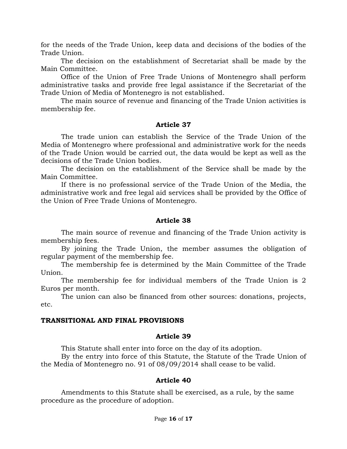for the needs of the Trade Union, keep data and decisions of the bodies of the Trade Union.

The decision on the establishment of Secretariat shall be made by the Main Committee.

Office of the Union of Free Trade Unions of Montenegro shall perform administrative tasks and provide free legal assistance if the Secretariat of the Trade Union of Media of Montenegro is not established.

The main source of revenue and financing of the Trade Union activities is membership fee.

### **Article 37**

The trade union can establish the Service of the Trade Union of the Media of Montenegro where professional and administrative work for the needs of the Trade Union would be carried out, the data would be kept as well as the decisions of the Trade Union bodies.

The decision on the establishment of the Service shall be made by the Main Committee.

If there is no professional service of the Trade Union of the Media, the administrative work and free legal aid services shall be provided by the Office of the Union of Free Trade Unions of Montenegro.

#### **Article 38**

The main source of revenue and financing of the Trade Union activity is membership fees.

By joining the Trade Union, the member assumes the obligation of regular payment of the membership fee.

The membership fee is determined by the Main Committee of the Trade Union.

The membership fee for individual members of the Trade Union is 2 Euros per month.

The union can also be financed from other sources: donations, projects, etc.

#### **TRANSITIONAL AND FINAL PROVISIONS**

#### **Article 39**

This Statute shall enter into force on the day of its adoption.

By the entry into force of this Statute, the Statute of the Trade Union of the Media of Montenegro no. 91 of 08/09/2014 shall cease to be valid.

### **Article 40**

Amendments to this Statute shall be exercised, as a rule, by the same procedure as the procedure of adoption.